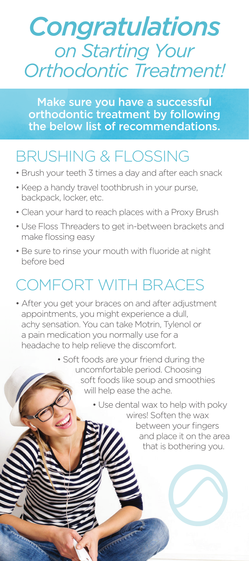# *Congratulations on Starting Your Orthodontic Treatment!*

Make sure you have a successful orthodontic treatment by following the below list of recommendations.

### BRUSHING & FLOSSING

- Brush your teeth 3 times a day and after each snack
- Keep a handy travel toothbrush in your purse, backpack, locker, etc.
- Clean your hard to reach places with a Proxy Brush
- Use Floss Threaders to get in-between brackets and make flossing easy
- Be sure to rinse your mouth with fluoride at night before bed

## COMFORT WITH BRACES

- After you get your braces on and after adjustment appointments, you might experience a dull, achy sensation. You can take Motrin, Tylenol or a pain medication you normally use for a headache to help relieve the discomfort.
	- Soft foods are your friend during the uncomfortable period. Choosing soft foods like soup and smoothies will help ease the ache.

• Use dental wax to help with poky wires! Soften the wax between your fingers and place it on the area

that is bothering you.